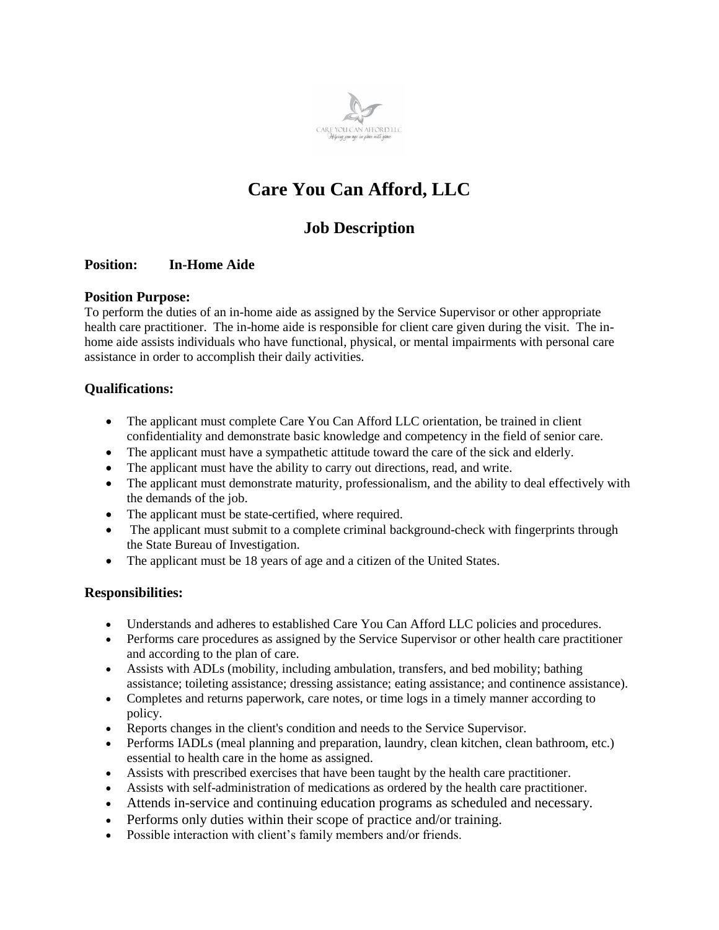

# **Care You Can Afford, LLC**

# **Job Description**

# **Position: In-Home Aide**

#### **Position Purpose:**

To perform the duties of an in-home aide as assigned by the Service Supervisor or other appropriate health care practitioner. The in-home aide is responsible for client care given during the visit. The inhome aide assists individuals who have functional, physical, or mental impairments with personal care assistance in order to accomplish their daily activities.

# **Qualifications:**

- The applicant must complete Care You Can Afford LLC orientation, be trained in client confidentiality and demonstrate basic knowledge and competency in the field of senior care.
- The applicant must have a sympathetic attitude toward the care of the sick and elderly.
- The applicant must have the ability to carry out directions, read, and write.
- The applicant must demonstrate maturity, professionalism, and the ability to deal effectively with the demands of the job.
- The applicant must be state-certified, where required.
- The applicant must submit to a complete criminal background-check with fingerprints through the State Bureau of Investigation.
- The applicant must be 18 years of age and a citizen of the United States.

# **Responsibilities:**

- Understands and adheres to established Care You Can Afford LLC policies and procedures.
- Performs care procedures as assigned by the Service Supervisor or other health care practitioner and according to the plan of care.
- Assists with ADLs (mobility, including ambulation, transfers, and bed mobility; bathing assistance; toileting assistance; dressing assistance; eating assistance; and continence assistance).
- Completes and returns paperwork, care notes, or time logs in a timely manner according to policy.
- Reports changes in the client's condition and needs to the Service Supervisor.
- Performs IADLs (meal planning and preparation, laundry, clean kitchen, clean bathroom, etc.) essential to health care in the home as assigned.
- Assists with prescribed exercises that have been taught by the health care practitioner.
- Assists with self-administration of medications as ordered by the health care practitioner.
- Attends in-service and continuing education programs as scheduled and necessary.
- Performs only duties within their scope of practice and/or training.
- Possible interaction with client's family members and/or friends.